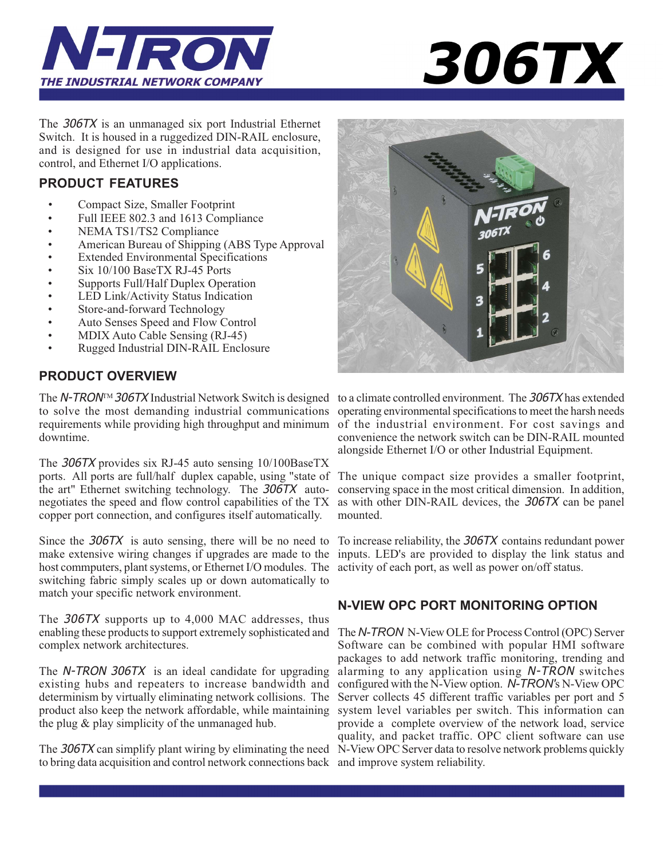



The 306TX is an unmanaged six port Industrial Ethernet Switch. It is housed in a ruggedized DIN-RAIL enclosure, and is designed for use in industrial data acquisition, control, and Ethernet I/O applications.

# **PRODUCT FEATURES**

- Compact Size, Smaller Footprint
- Full IEEE 802.3 and 1613 Compliance
- NEMA TS1/TS2 Compliance
- American Bureau of Shipping (ABS Type Approval
- Extended Environmental Specifications
- Six 10/100 BaseTX RJ-45 Ports
- Supports Full/Half Duplex Operation
- LED Link/Activity Status Indication
- Store-and-forward Technology
- Auto Senses Speed and Flow Control
- MDIX Auto Cable Sensing (RJ-45)
- Rugged Industrial DIN-RAIL Enclosure

# **PRODUCT OVERVIEW**

The N-TRON<sup>™</sup> 306TX Industrial Network Switch is designed to a climate controlled environment. The 306TX has extended to solve the most demanding industrial communications requirements while providing high throughput and minimum downtime.

The 306TX provides six RJ-45 auto sensing 10/100BaseTX ports. All ports are full/half duplex capable, using "state of The unique compact size provides a smaller footprint, the art" Ethernet switching technology. The 306TX autonegotiates the speed and flow control capabilities of the TX copper port connection, and configures itself automatically.

Since the 306TX is auto sensing, there will be no need to make extensive wiring changes if upgrades are made to the host commputers, plant systems, or Ethernet I/O modules. The activity of each port, as well as power on/off status. switching fabric simply scales up or down automatically to match your specific network environment.

The 306TX supports up to 4,000 MAC addresses, thus enabling these products to support extremely sophisticated and complex network architectures.

The N-TRON 306TX is an ideal candidate for upgrading existing hubs and repeaters to increase bandwidth and determinism by virtually eliminating network collisions. The product also keep the network affordable, while maintaining the plug & play simplicity of the unmanaged hub.

The 306TX can simplify plant wiring by eliminating the need N-View OPC Server data to resolve network problems quickly to bring data acquisition and control network connections back and improve system reliability.



operating environmental specifications to meet the harsh needs of the industrial environment. For cost savings and convenience the network switch can be DIN-RAIL mounted alongside Ethernet I/O or other Industrial Equipment.

conserving space in the most critical dimension. In addition, as with other DIN-RAIL devices, the 306TX can be panel mounted.

To increase reliability, the 306TX contains redundant power inputs. LED's are provided to display the link status and

# **N-VIEW OPC PORT MONITORING OPTION**

The *N-TRON* N-View OLE for Process Control (OPC) Server Software can be combined with popular HMI software packages to add network traffic monitoring, trending and alarming to any application using N-TRON switches configured with the N-View option. *N-TRON'*s N-View OPC Server collects 45 different traffic variables per port and 5 system level variables per switch. This information can provide a complete overview of the network load, service quality, and packet traffic. OPC client software can use